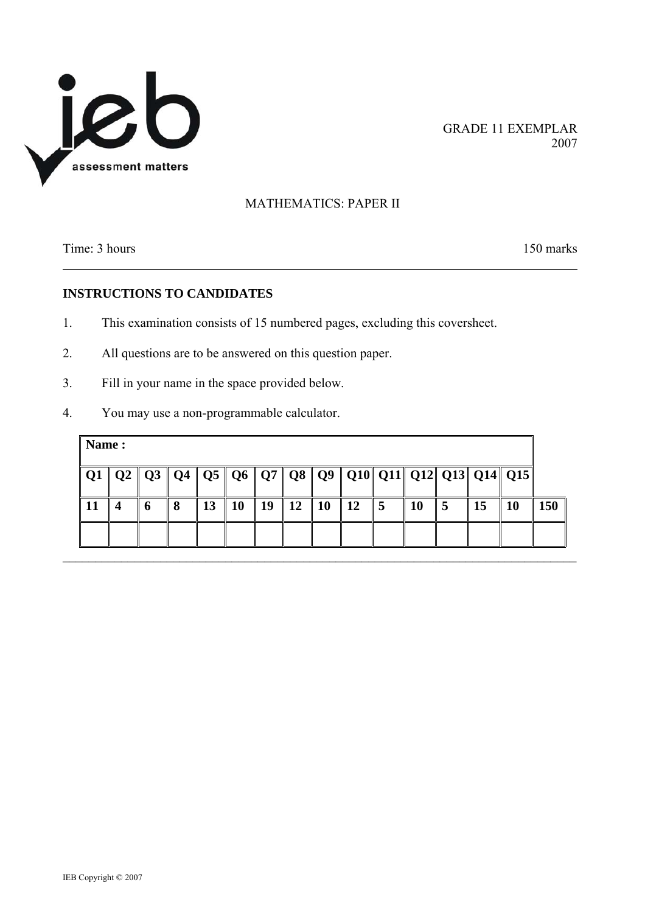

GRADE 11 EXEMPLAR

### MATHEMATICS: PAPER II

Time: 3 hours 150 marks

### **INSTRUCTIONS TO CANDIDATES**

- 1. This examination consists of 15 numbered pages, excluding this coversheet.
- 2. All questions are to be answered on this question paper.
- 3. Fill in your name in the space provided below.
- 4. You may use a non-programmable calculator.

|    |   |   |    |           |    |            |           |           |     |    |   |    | Q1   Q2   Q3   Q4   Q5   Q6   Q7   Q8   Q9   Q10  Q11  Q12  Q13  Q14  Q15 |     |
|----|---|---|----|-----------|----|------------|-----------|-----------|-----|----|---|----|---------------------------------------------------------------------------|-----|
| 11 | 6 | Я | 13 | <b>10</b> | 19 | $\vert$ 12 | <b>10</b> | <b>12</b> | l 5 | 10 | 5 | 15 | 10                                                                        | 150 |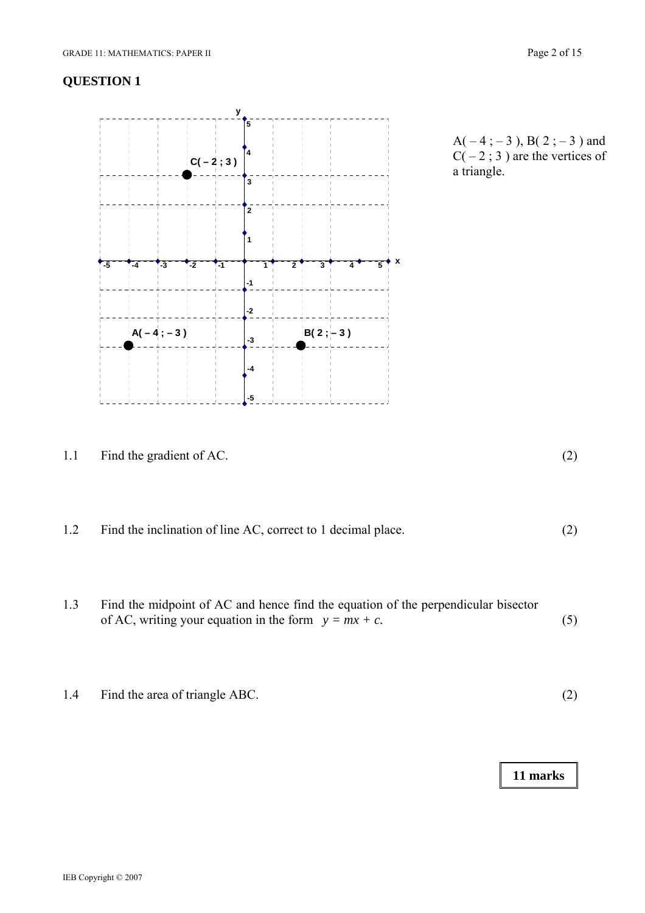

 $A(-4; -3)$ , B(2; -3) and  $C(-2; 3)$  are the vertices of a triangle.

| 1.1 | Find the gradient of AC. |  |
|-----|--------------------------|--|
|     |                          |  |

1.2 Find the inclination of line AC, correct to 1 decimal place. (2)

- 1.3 Find the midpoint of AC and hence find the equation of the perpendicular bisector of AC, writing your equation in the form  $y = mx + c$ .  $(5)$
- 1.4 Find the area of triangle ABC. (2)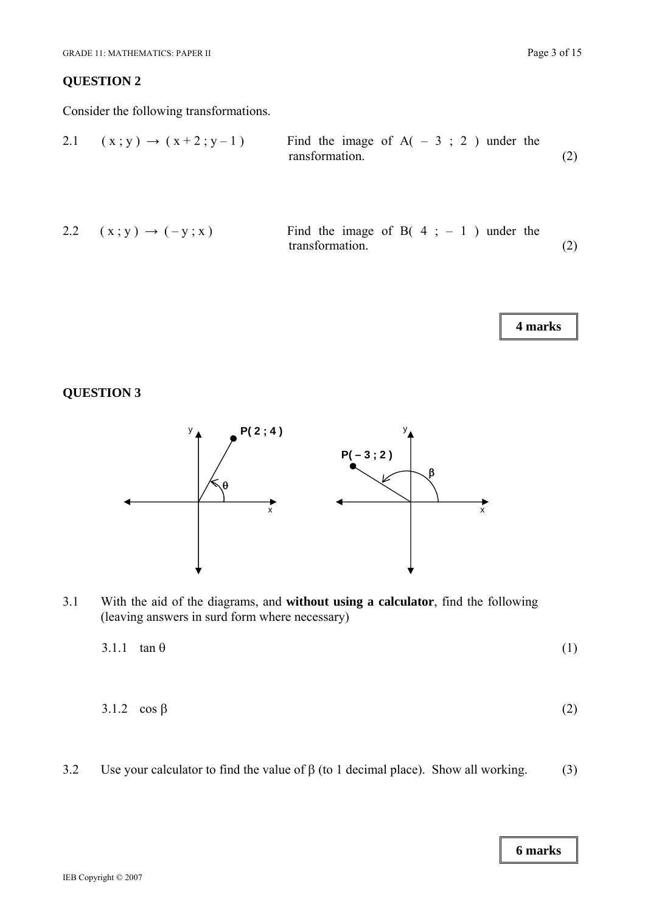Consider the following transformations.

2.1 
$$
(x; y) \rightarrow (x+2; y-1)
$$
 Find the image of A(-3; 2) under the  
transformation. (2)

2.2 
$$
(x; y) \rightarrow (-y; x)
$$
 Find the image of B(4; -1) under the  
transformation. (2)

**4 marks** 

# **QUESTION 3**



3.1 With the aid of the diagrams, and **without using a calculator**, find the following (leaving answers in surd form where necessary)

| $3.1.1 \tan \theta$ |  |
|---------------------|--|
|                     |  |

- 3.1.2  $\cos \beta$  (2)
- 3.2 Use your calculator to find the value of  $\beta$  (to 1 decimal place). Show all working. (3)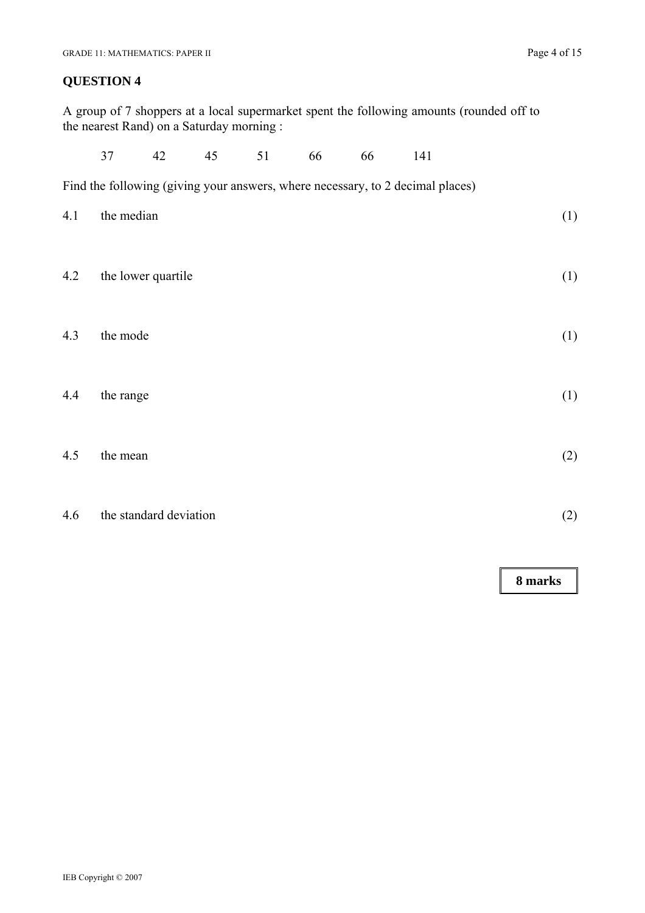A group of 7 shoppers at a local supermarket spent the following amounts (rounded off to the nearest Rand) on a Saturday morning :

|     | 37                 | 42                     | 45 | 51 | 66 | 66 | 141                                                                            |     |
|-----|--------------------|------------------------|----|----|----|----|--------------------------------------------------------------------------------|-----|
|     |                    |                        |    |    |    |    | Find the following (giving your answers, where necessary, to 2 decimal places) |     |
| 4.1 | the median         |                        |    |    |    |    |                                                                                | (1) |
| 4.2 | the lower quartile |                        |    |    |    |    |                                                                                | (1) |
| 4.3 | the mode           |                        |    |    |    |    |                                                                                | (1) |
| 4.4 | the range          |                        |    |    |    |    |                                                                                | (1) |
| 4.5 | the mean           |                        |    |    |    |    |                                                                                | (2) |
| 4.6 |                    | the standard deviation |    |    |    |    |                                                                                | (2) |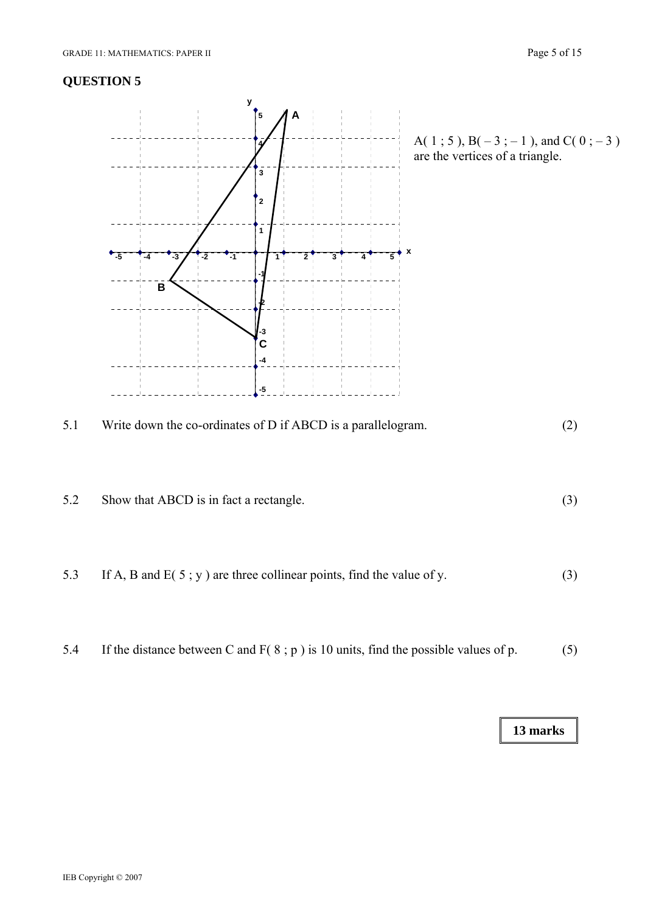

5.2 Show that ABCD is in fact a rectangle. (3)

5.3 If A, B and E( 5; y) are three collinear points, find the value of y. (3)

5.4 If the distance between C and F( 8 ; p ) is 10 units, find the possible values of p. (5)

A( 1 ; 5 ), B( $-3$  ;  $-1$  ), and C( 0 ;  $-3$  ) are the vertices of a triangle.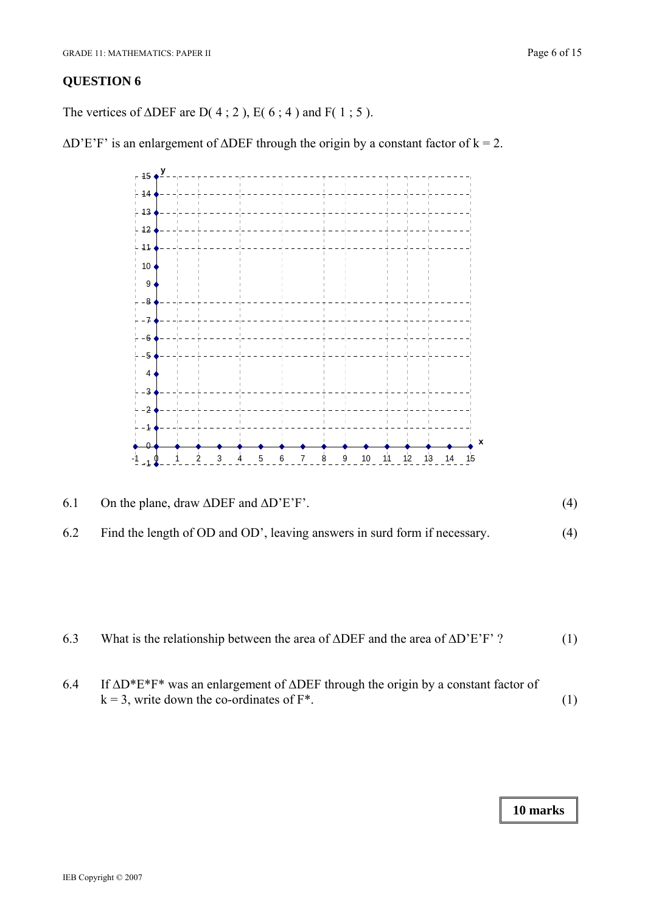The vertices of  $\triangle DEF$  are D(4;2), E(6;4) and F(1;5).

 $\Delta$ D'E'F' is an enlargement of  $\Delta$ DEF through the origin by a constant factor of k = 2.



| 6.3 | What is the relationship between the area of $\triangle DEF$ and the area of $\triangle D'E'F'$ ? | (1) |
|-----|---------------------------------------------------------------------------------------------------|-----|
|-----|---------------------------------------------------------------------------------------------------|-----|

6.4 If ΔD\*E\*F\* was an enlargement of ΔDEF through the origin by a constant factor of  $k = 3$ , write down the co-ordinates of  $F^*$ . (1)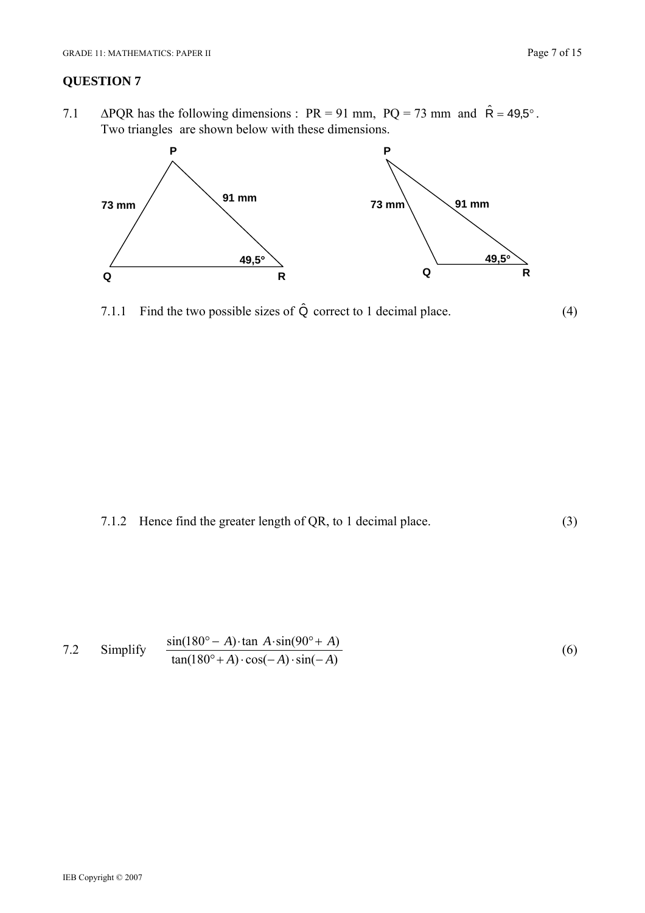7.1  $\triangle PQR$  has the following dimensions : PR = 91 mm, PQ = 73 mm and  $\hat{R} = 49.5^\circ$ . Two triangles are shown below with these dimensions.



7.1.1 Find the two possible sizes of  $\hat{Q}$  correct to 1 decimal place. (4)



7.2 Simplify 
$$
\frac{\sin(180^\circ - A) \cdot \tan A \cdot \sin(90^\circ + A)}{\tan(180^\circ + A) \cdot \cos(-A) \cdot \sin(-A)}
$$
(6)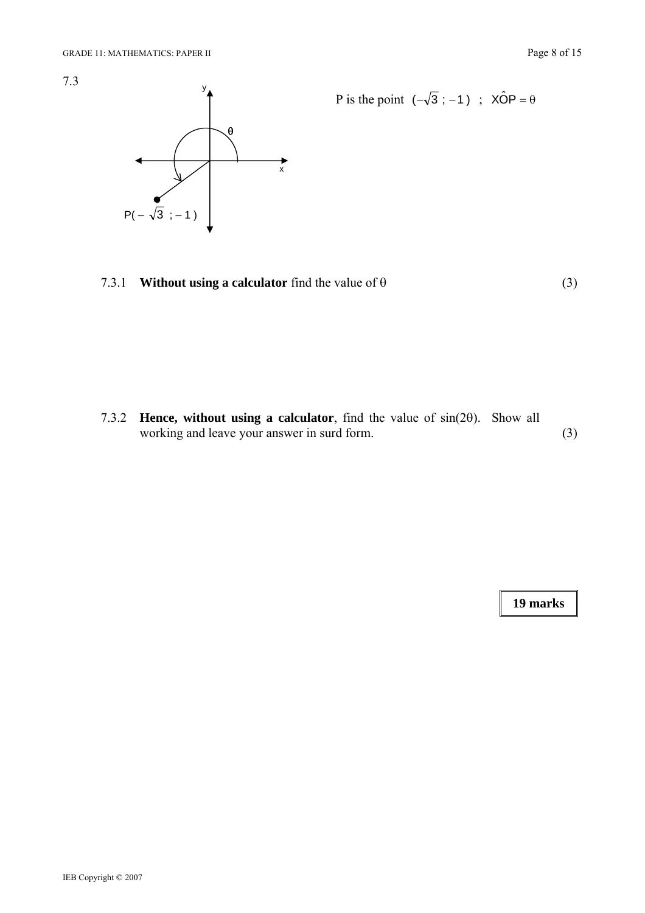

P is the point 
$$
(-\sqrt{3}; -1)
$$
;  $x\hat{O}P = \theta$ 

7.3.1 **Without using a calculator** find the value of  $\theta$  (3)

7.3.2 **Hence, without using a calculator**, find the value of sin(2θ). Show all working and leave your answer in surd form. (3)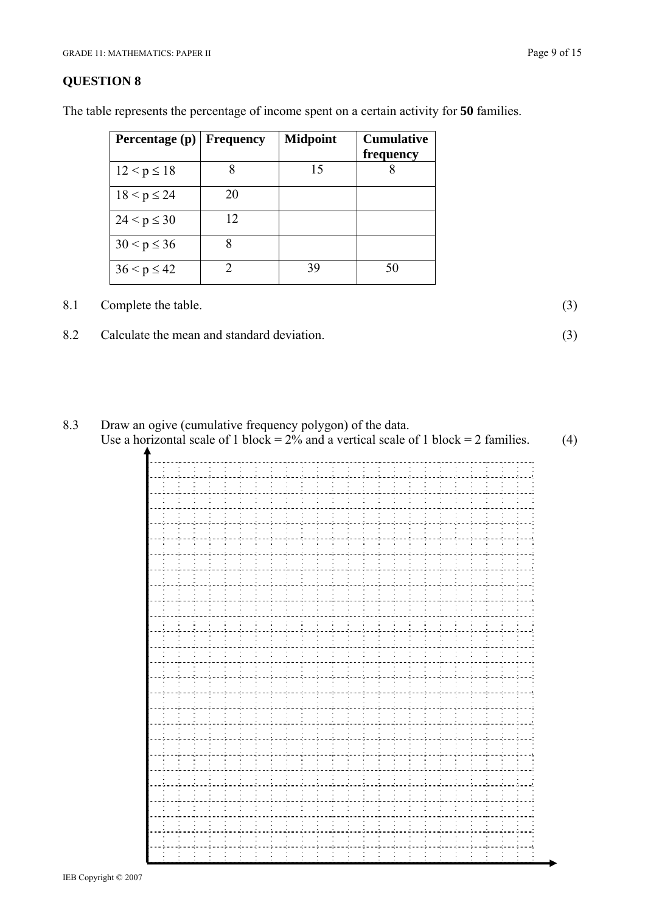| Percentage (p) Frequency |    | <b>Midpoint</b> | <b>Cumulative</b><br>frequency |
|--------------------------|----|-----------------|--------------------------------|
| $12 < p \le 18$          |    | 15              |                                |
| $18 < p \le 24$          | 20 |                 |                                |
| $24 < p \leq 30$         | 12 |                 |                                |
| $30 < p \le 36$          |    |                 |                                |
| $36 < p \le 42$          |    | 39              | 50                             |

The table represents the percentage of income spent on a certain activity for **50** families.

8.1 Complete the table. (3)

8.2 Calculate the mean and standard deviation. (3)



| ÷. |  |  |
|----|--|--|
|    |  |  |
|    |  |  |
|    |  |  |
|    |  |  |
|    |  |  |
|    |  |  |
|    |  |  |
|    |  |  |
|    |  |  |
|    |  |  |
|    |  |  |
|    |  |  |
|    |  |  |
|    |  |  |
|    |  |  |
|    |  |  |
|    |  |  |
|    |  |  |
|    |  |  |
|    |  |  |
|    |  |  |
|    |  |  |
|    |  |  |
|    |  |  |
|    |  |  |
|    |  |  |
|    |  |  |
|    |  |  |
|    |  |  |
|    |  |  |
|    |  |  |
|    |  |  |
|    |  |  |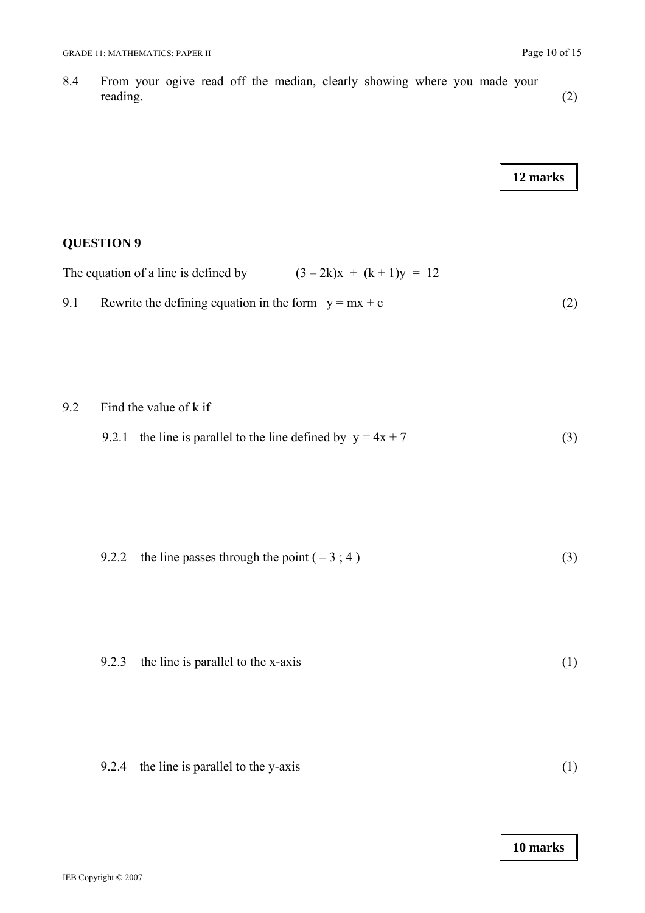8.4 From your ogive read off the median, clearly showing where you made your reading. (2)

**12 marks** 

# **QUESTION 9**

The equation of a line is defined by  $(3 - 2k)x + (k + 1)y = 12$ 9.1 Rewrite the defining equation in the form  $y = mx + c$  (2)

9.2 Find the value of k if

|  | 9.2.1 the line is parallel to the line defined by $y = 4x + 7$ |  |  |  |  |
|--|----------------------------------------------------------------|--|--|--|--|
|--|----------------------------------------------------------------|--|--|--|--|

| 9.2.2 the line passes through the point $(-3; 4)$ |  |
|---------------------------------------------------|--|
|                                                   |  |

|  | 9.2.3 the line is parallel to the x-axis |  |  |
|--|------------------------------------------|--|--|
|--|------------------------------------------|--|--|

|  | 9.2.4 the line is parallel to the y-axis |  |
|--|------------------------------------------|--|
|--|------------------------------------------|--|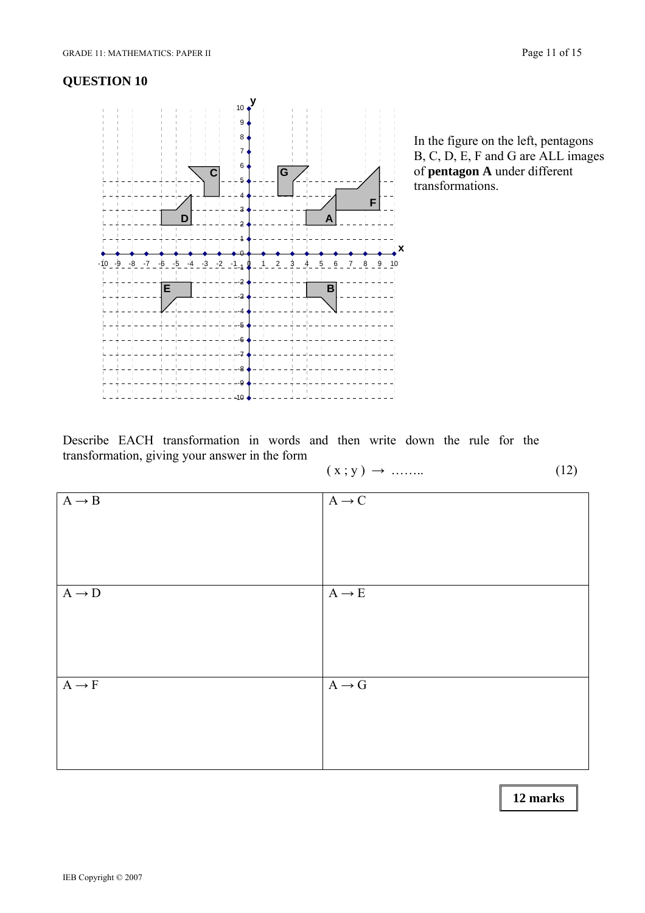

 of **pentagon A** under different transformations.

Describe EACH transformation in words and then write down the rule for the transformation, giving your answer in the form

$$
(x; y) \rightarrow \dots \tag{12}
$$

| $A \rightarrow B$ | $\mathrm{A}\rightarrow \mathrm{C}$ |
|-------------------|------------------------------------|
|                   |                                    |
|                   |                                    |
|                   |                                    |
|                   |                                    |
|                   |                                    |
| $A \rightarrow D$ | $\mathrm{A}\rightarrow \mathrm{E}$ |
|                   |                                    |
|                   |                                    |
|                   |                                    |
|                   |                                    |
|                   |                                    |
| $A \rightarrow F$ | $\mathbf{A}\to\mathbf{G}$          |
|                   |                                    |
|                   |                                    |
|                   |                                    |
|                   |                                    |
|                   |                                    |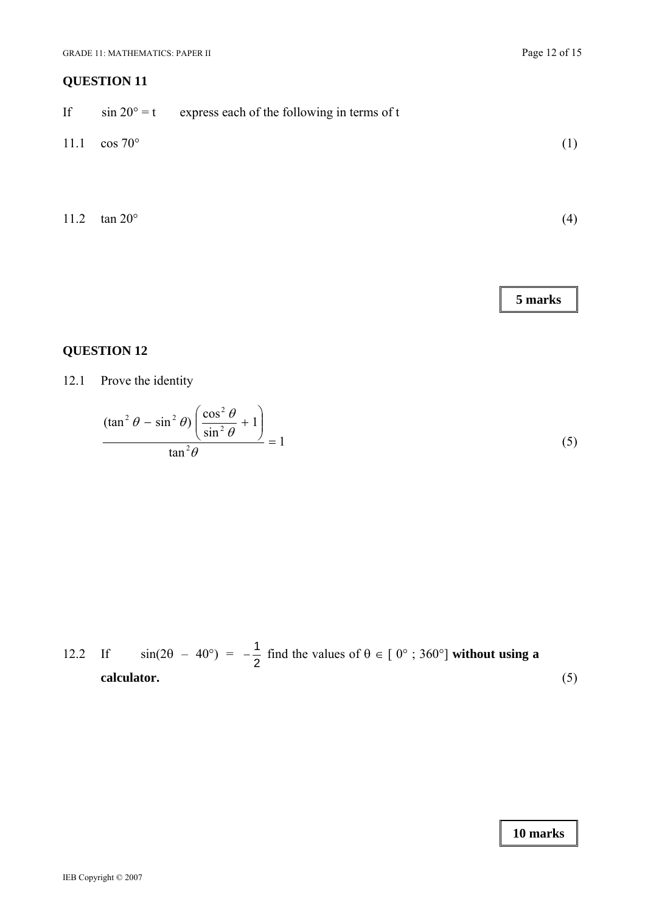| If   | $\sin 20^\circ = t$ | express each of the following in terms of t |     |
|------|---------------------|---------------------------------------------|-----|
| 11.1 | $\cos 70^\circ$     |                                             | (1) |
|      |                     |                                             |     |
| 11.2 | $\tan 20^\circ$     |                                             | (4) |

**5 marks** 

# **QUESTION 12**

12.1 Prove the identity

$$
\frac{(\tan^2 \theta - \sin^2 \theta) \left(\frac{\cos^2 \theta}{\sin^2 \theta} + 1\right)}{\tan^2 \theta} = 1
$$
\n(5)

12.2 If 
$$
sin(2\theta - 40^{\circ}) = -\frac{1}{2}
$$
 find the values of  $\theta \in [0^{\circ} ; 360^{\circ}]$  without using a calculator. (5)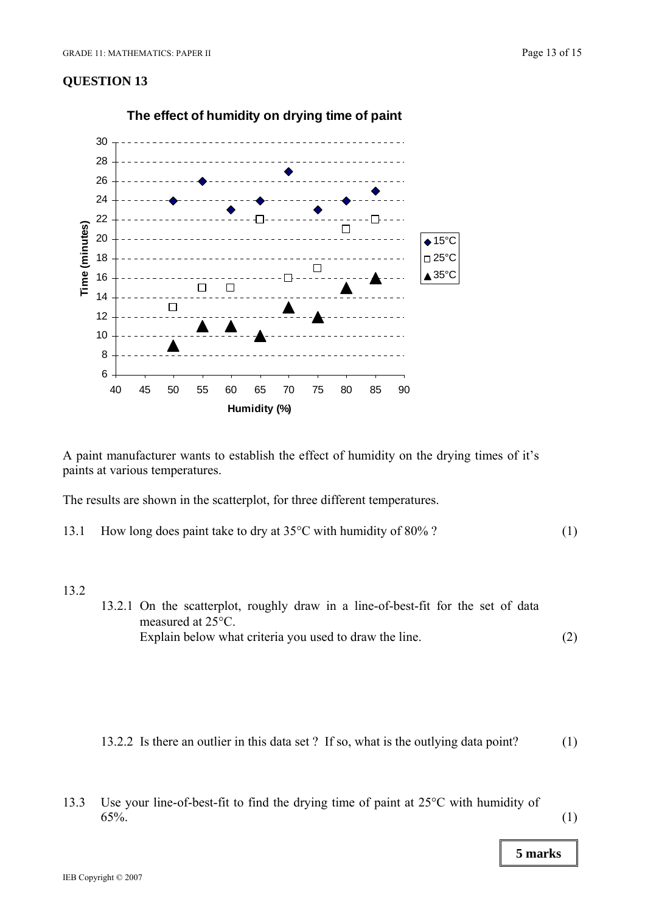

**The effect of humidity on drying time of paint**

A paint manufacturer wants to establish the effect of humidity on the drying times of it's paints at various temperatures.

The results are shown in the scatterplot, for three different temperatures.

13.1 How long does paint take to dry at 35<sup>o</sup>C with humidity of 80% ? (1)

#### 13.2

- 13.2.1 On the scatterplot, roughly draw in a line-of-best-fit for the set of data measured at 25°C. Explain below what criteria you used to draw the line. (2)
- 13.2.2 Is there an outlier in this data set ? If so, what is the outlying data point? (1)
- 13.3 Use your line-of-best-fit to find the drying time of paint at 25°C with humidity of  $65\%$ . (1)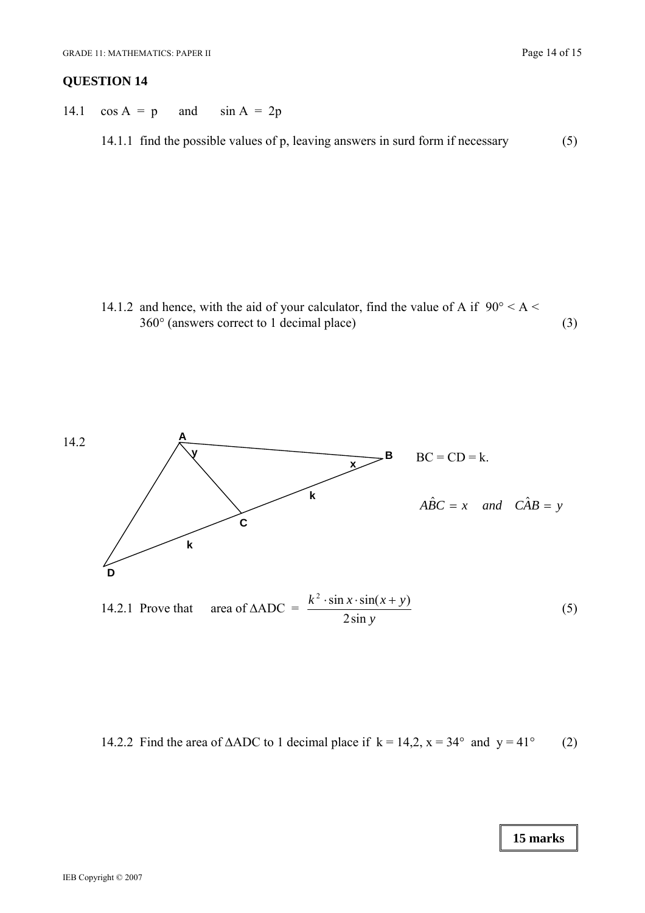14.1  $\cos A = p$  and  $\sin A = 2p$ 

14.1.1 find the possible values of p, leaving answers in surd form if necessary (5)

14.1.2 and hence, with the aid of your calculator, find the value of A if  $90^{\circ} < A <$ 360° (answers correct to 1 decimal place) (3)



14.2.2 Find the area of  $\triangle ADC$  to 1 decimal place if  $k = 14,2$ ,  $x = 34^{\circ}$  and  $y = 41^{\circ}$  (2)